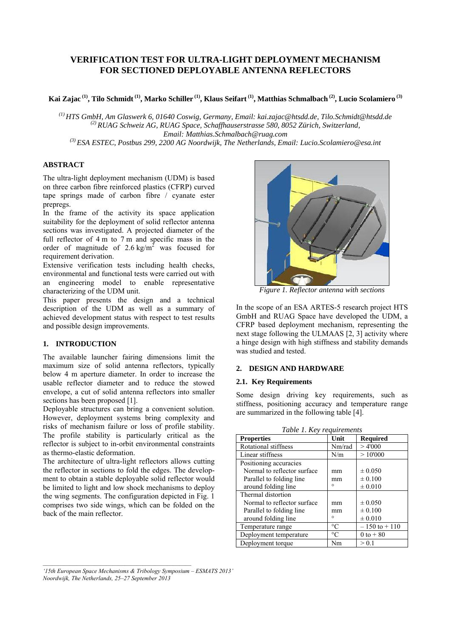# **VERIFICATION TEST FOR ULTRA-LIGHT DEPLOYMENT MECHANISM FOR SECTIONED DEPLOYABLE ANTENNA REFLECTORS**

**Kai Zajac (1) , Tilo Schmidt(1) , Marko Schiller (1), Klaus Seifart (1), Matthias Schmalbach (2) , Lucio Scolamiero (3)**

*(1) HTS GmbH, Am Glaswerk 6, 01640 Coswig, Germany, Email: kai.zajac@htsdd.de, Tilo.Schmidt@htsdd.de (2) RUAG Schweiz AG, RUAG Space, Schaffhauserstrasse 580, 8052 Zürich, Switzerland, Email: Matthias.Schmalbach@ruag.com* 

*(3) ESA ESTEC, Postbus 299, 2200 AG Noordwijk, The Netherlands, Email: Lucio.Scolamiero@esa.int* 

# **ABSTRACT**

The ultra-light deployment mechanism (UDM) is based on three carbon fibre reinforced plastics (CFRP) curved tape springs made of carbon fibre / cyanate ester prepregs.

In the frame of the activity its space application suitability for the deployment of solid reflector antenna sections was investigated. A projected diameter of the full reflector of 4 m to 7 m and specific mass in the order of magnitude of  $2.6 \text{ kg/m}^2$  was focused for requirement derivation.

Extensive verification tests including health checks, environmental and functional tests were carried out with an engineering model to enable representative characterizing of the UDM unit.

This paper presents the design and a technical description of the UDM as well as a summary of achieved development status with respect to test results and possible design improvements.

# **1. INTRODUCTION**

The available launcher fairing dimensions limit the maximum size of solid antenna reflectors, typically below 4 m aperture diameter. In order to increase the usable reflector diameter and to reduce the stowed envelope, a cut of solid antenna reflectors into smaller sections has been proposed [1].

Deployable structures can bring a convenient solution. However, deployment systems bring complexity and risks of mechanism failure or loss of profile stability. The profile stability is particularly critical as the reflector is subject to in-orbit environmental constraints as thermo-elastic deformation.

The architecture of ultra-light reflectors allows cutting the reflector in sections to fold the edges. The development to obtain a stable deployable solid reflector would be limited to light and low shock mechanisms to deploy the wing segments. The configuration depicted in Fig. 1 comprises two side wings, which can be folded on the back of the main reflector.



*Figure 1. Reflector antenna with sections*

In the scope of an ESA ARTES-5 research project HTS GmbH and RUAG Space have developed the UDM, a CFRP based deployment mechanism, representing the next stage following the ULMAAS [2, 3] activity where a hinge design with high stiffness and stability demands was studied and tested.

# **2. DESIGN AND HARDWARE**

#### **2.1. Key Requirements**

Some design driving key requirements, such as stiffness, positioning accuracy and temperature range are summarized in the following table [4].

| Tuble 1. Rey requirements   |             |                  |  |
|-----------------------------|-------------|------------------|--|
| <b>Properties</b>           | Unit        | <b>Required</b>  |  |
| Rotational stiffness        | Nm/rad      | >4'000           |  |
| Linear stiffness            | N/m         | >10'000          |  |
| Positioning accuracies      |             |                  |  |
| Normal to reflector surface | mm          | $\pm 0.050$      |  |
| Parallel to folding line    | mm          | $\pm 0.100$      |  |
| around folding line         | $\circ$     | $\pm 0.010$      |  |
| Thermal distortion          |             |                  |  |
| Normal to reflector surface | mm          | $\pm 0.050$      |  |
| Parallel to folding line    | mm          | $\pm 0.100$      |  |
| around folding line         | $\circ$     | $\pm 0.010$      |  |
| Temperature range           | $^{\circ}C$ | $-150$ to $+110$ |  |
| Deployment temperature      | $^{\circ}C$ | 0 to $+80$       |  |
| Deployment torque           | Nm          | > 0.1            |  |

*Table 1. Key requirements*

*'15th European Space Mechanisms & Tribology Symposium – ESMATS 2013' Noordwijk, The Netherlands, 25–27 September 2013*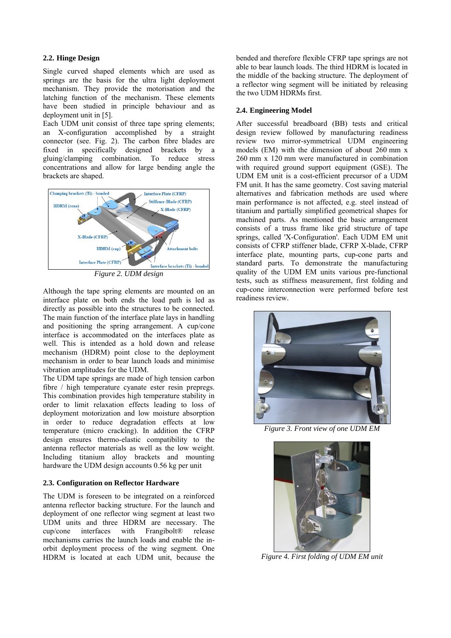### **2.2. Hinge Design**

Single curved shaped elements which are used as springs are the basis for the ultra light deployment mechanism. They provide the motorisation and the latching function of the mechanism. These elements have been studied in principle behaviour and as deployment unit in [5].

Each UDM unit consist of three tape spring elements; an X-configuration accomplished by a straight connector (see. Fig. 2). The carbon fibre blades are fixed in specifically designed brackets by a gluing/clamping combination. To reduce stress concentrations and allow for large bending angle the brackets are shaped.



*Figure 2. UDM design* 

Although the tape spring elements are mounted on an interface plate on both ends the load path is led as directly as possible into the structures to be connected. The main function of the interface plate lays in handling and positioning the spring arrangement. A cup/cone interface is accommodated on the interfaces plate as well. This is intended as a hold down and release mechanism (HDRM) point close to the deployment mechanism in order to bear launch loads and minimise vibration amplitudes for the UDM.

The UDM tape springs are made of high tension carbon fibre / high temperature cyanate ester resin prepregs. This combination provides high temperature stability in order to limit relaxation effects leading to loss of deployment motorization and low moisture absorption in order to reduce degradation effects at low temperature (micro cracking). In addition the CFRP design ensures thermo-elastic compatibility to the antenna reflector materials as well as the low weight. Including titanium alloy brackets and mounting hardware the UDM design accounts 0.56 kg per unit

## **2.3. Configuration on Reflector Hardware**

The UDM is foreseen to be integrated on a reinforced antenna reflector backing structure. For the launch and deployment of one reflector wing segment at least two UDM units and three HDRM are necessary. The cup/cone interfaces with Frangibolt® release mechanisms carries the launch loads and enable the inorbit deployment process of the wing segment. One HDRM is located at each UDM unit, because the bended and therefore flexible CFRP tape springs are not able to bear launch loads. The third HDRM is located in the middle of the backing structure. The deployment of a reflector wing segment will be initiated by releasing the two UDM HDRMs first.

### **2.4. Engineering Model**

After successful breadboard (BB) tests and critical design review followed by manufacturing readiness review two mirror-symmetrical UDM engineering models (EM) with the dimension of about 260 mm x 260 mm x 120 mm were manufactured in combination with required ground support equipment (GSE). The UDM EM unit is a cost-efficient precursor of a UDM FM unit. It has the same geometry. Cost saving material alternatives and fabrication methods are used where main performance is not affected, e.g. steel instead of titanium and partially simplified geometrical shapes for machined parts. As mentioned the basic arrangement consists of a truss frame like grid structure of tape springs, called 'X-Configuration'. Each UDM EM unit consists of CFRP stiffener blade, CFRP X-blade, CFRP interface plate, mounting parts, cup-cone parts and standard parts. To demonstrate the manufacturing quality of the UDM EM units various pre-functional tests, such as stiffness measurement, first folding and cup-cone interconnection were performed before test readiness review.



*Figure 3. Front view of one UDM EM* 



*Figure 4. First folding of UDM EM unit*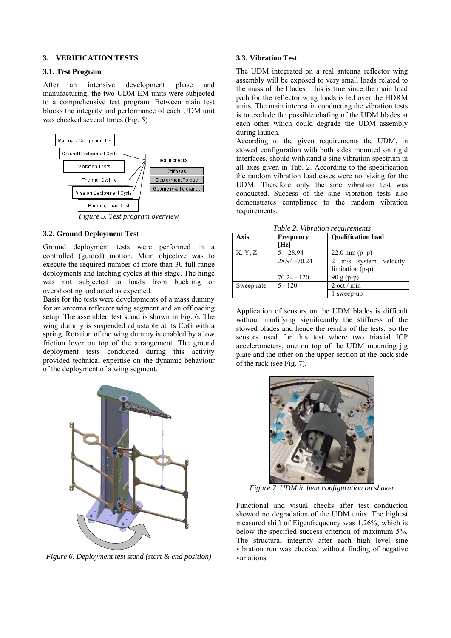#### **3. VERIFICATION TESTS**

#### **3.1. Test Program**

After an intensive development phase and manufacturing, the two UDM EM units were subjected to a comprehensive test program. Between main test blocks the integrity and performance of each UDM unit was checked several times (Fig. 5)



*Figure 5. Test program overview*

#### **3.2. Ground Deployment Test**

Ground deployment tests were performed in a controlled (guided) motion. Main objective was to execute the required number of more than 30 full range deployments and latching cycles at this stage. The hinge was not subjected to loads from buckling or overshooting and acted as expected.

Basis for the tests were developments of a mass dummy for an antenna reflector wing segment and an offloading setup. The assembled test stand is shown in Fig. 6. The wing dummy is suspended adjustable at its CoG with a spring. Rotation of the wing dummy is enabled by a low friction lever on top of the arrangement. The ground deployment tests conducted during this activity provided technical expertise on the dynamic behaviour of the deployment of a wing segment.



*Figure 6. Deployment test stand (start & end position)*

### **3.3. Vibration Test**

The UDM integrated on a real antenna reflector wing assembly will be exposed to very small loads related to the mass of the blades. This is true since the main load path for the reflector wing loads is led over the HDRM units. The main interest in conducting the vibration tests is to exclude the possible chafing of the UDM blades at each other which could degrade the UDM assembly during launch.

According to the given requirements the UDM, in stowed configuration with both sides mounted on rigid interfaces, should withstand a sine vibration spectrum in all axes given in Tab. 2. According to the specification the random vibration load cases were not sizing for the UDM. Therefore only the sine vibration test was conducted. Success of the sine vibration tests also demonstrates compliance to the random vibration requirements.

|  | Table 2. Vibration requirements |
|--|---------------------------------|
|  |                                 |

| Axis       | <b>Frequency</b> | <b>Qualification load</b>  |  |
|------------|------------------|----------------------------|--|
|            | [Hz]             |                            |  |
| X, Y, Z    | $5 - 28.94$      | $22.0 \text{ mm} (p-p)$    |  |
|            | 28.94 - 70.24    | velocity<br>2 $m/s$ system |  |
|            |                  | limitation (p-p)           |  |
|            | $70.24 - 120$    | $90 g (p-p)$               |  |
| Sweep rate | $5 - 120$        | 2 oct / min                |  |
|            |                  | sweep-up                   |  |

Application of sensors on the UDM blades is difficult without modifying significantly the stiffness of the stowed blades and hence the results of the tests. So the sensors used for this test where two triaxial ICP accelerometers, one on top of the UDM mounting jig plate and the other on the upper section at the back side of the rack (see Fig. 7).



*Figure 7. UDM in bent configuration on shaker* 

Functional and visual checks after test conduction showed no degradation of the UDM units. The highest measured shift of Eigenfrequency was 1.26%, which is below the specified success criterion of maximum 5%. The structural integrity after each high level sine vibration run was checked without finding of negative variations.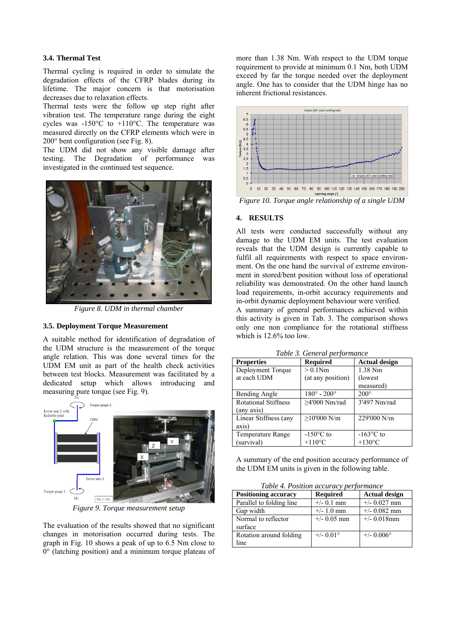### **3.4. Thermal Test**

Thermal cycling is required in order to simulate the degradation effects of the CFRP blades during its lifetime. The major concern is that motorisation decreases due to relaxation effects.

Thermal tests were the follow up step right after vibration test. The temperature range during the eight cycles was -150°C to +110°C. The temperature was measured directly on the CFRP elements which were in 200° bent configuration (see Fig. 8).

The UDM did not show any visible damage after testing. The Degradation of performance was investigated in the continued test sequence.



*Figure 8. UDM in thermal chamber* 

#### **3.5. Deployment Torque Measurement**

A suitable method for identification of degradation of the UDM structure is the measurement of the torque angle relation. This was done several times for the UDM EM unit as part of the health check activities between test blocks. Measurement was facilitated by a dedicated setup which allows introducing and measuring pure torque (see Fig. 9).



*Figure 9. Torque measurement setup* 

The evaluation of the results showed that no significant changes in motorisation occurred during tests. The graph in Fig. 10 shows a peak of up to 6.5 Nm close to 0° (latching position) and a minimum torque plateau of more than 1.38 Nm. With respect to the UDM torque requirement to provide at minimum 0.1 Nm, both UDM exceed by far the torque needed over the deployment angle. One has to consider that the UDM hinge has no inherent frictional resistances.



*Figure 10. Torque angle relationship of a single UDM* 

### **4. RESULTS**

All tests were conducted successfully without any damage to the UDM EM units. The test evaluation reveals that the UDM design is currently capable to fulfil all requirements with respect to space environment. On the one hand the survival of extreme environment in stored/bent position without loss of operational reliability was demonstrated. On the other hand launch load requirements, in-orbit accuracy requirements and in-orbit dynamic deployment behaviour were verified.

A summary of general performances achieved within this activity is given in Tab. 3. The comparison shows only one non compliance for the rotational stiffness which is 12.6% too low.

| Table 3. General performance |  |
|------------------------------|--|
|------------------------------|--|

| <b>Properties</b>           | <b>Required</b>             | <b>Actual design</b> |
|-----------------------------|-----------------------------|----------------------|
| Deployment Torque           | $> 0.1$ Nm                  | 1.38 Nm              |
| at each UDM                 | (at any position)           | (lowest)             |
|                             |                             | measured)            |
| <b>Bending Angle</b>        | $180^{\circ} - 200^{\circ}$ | $200^\circ$          |
| <b>Rotational Stiffness</b> | $>4'000$ Nm/rad             | 3'497 Nm/rad         |
| (any axis)                  |                             |                      |
| Linear Stiffness (any       | $\geq$ 10'000 N/m           | 229'000 N/m          |
| axis)                       |                             |                      |
| <b>Temperature Range</b>    | $-150^{\circ}$ C to         | $-163$ °C to         |
| (survival)                  | $+110$ °C                   | $+130^{\circ}$ C     |

A summary of the end position accuracy performance of the UDM EM units is given in the following table.

*Table 4. Position accuracy performance*

| <b>Positioning accuracy</b> | <b>Required</b>    | <b>Actual design</b> |  |
|-----------------------------|--------------------|----------------------|--|
| Parallel to folding line    | $+/-$ 0.1 mm       | $+/- 0.027$ mm       |  |
| Gap width                   | $+/- 1.0$ mm       | $+/-$ 0.082 mm       |  |
| Normal to reflector         | $+/-$ 0.05 mm      | $+/-$ 0.018mm        |  |
| surface                     |                    |                      |  |
| Rotation around folding     | $+/- 0.01^{\circ}$ | $+/- 0.006$ °        |  |
| line                        |                    |                      |  |